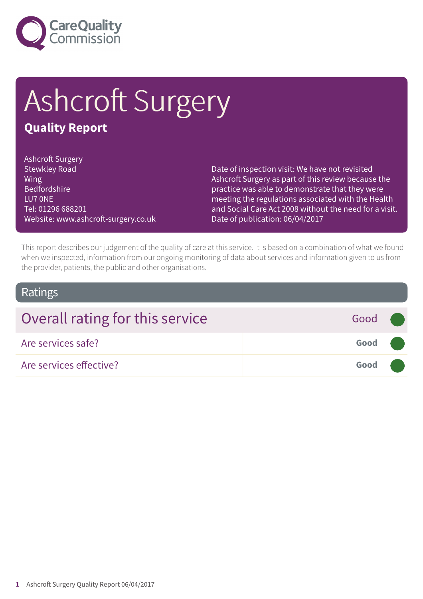

# Ashcroft Surgery

### **Quality Report**

Ashcroft Surgery Stewkley Road Wing Bedfordshire LU7 0NE Tel: 01296 688201 Website: www.ashcroft-surgery.co.uk

Date of inspection visit: We have not revisited Ashcroft Surgery as part of this review because the practice was able to demonstrate that they were meeting the regulations associated with the Health and Social Care Act 2008 without the need for a visit. Date of publication: 06/04/2017

This report describes our judgement of the quality of care at this service. It is based on a combination of what we found when we inspected, information from our ongoing monitoring of data about services and information given to us from the provider, patients, the public and other organisations.

### Ratings

| Overall rating for this service | Good ( |  |
|---------------------------------|--------|--|
| Are services safe?              | Good   |  |
| Are services effective?         | Good   |  |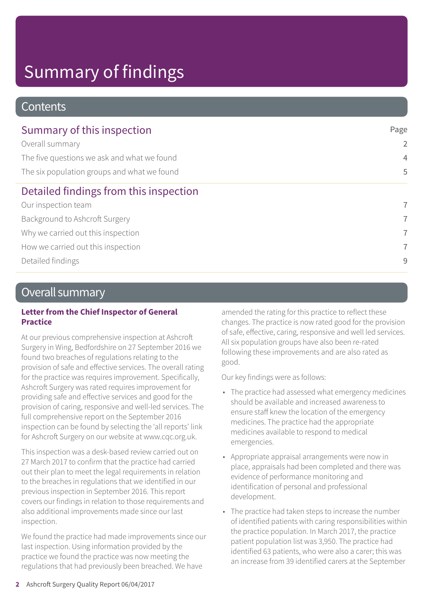### **Contents**

| Summary of this inspection                  | Page           |  |
|---------------------------------------------|----------------|--|
| Overall summary                             | $\overline{2}$ |  |
| The five questions we ask and what we found | $\overline{4}$ |  |
| The six population groups and what we found | 5              |  |
| Detailed findings from this inspection      |                |  |
| Our inspection team                         | $\overline{7}$ |  |
| Background to Ashcroft Surgery              | $\overline{7}$ |  |
| Why we carried out this inspection          | $\overline{7}$ |  |
| How we carried out this inspection          | $\overline{7}$ |  |
| Detailed findings                           | 9              |  |

### Overall summary

#### **Letter from the Chief Inspector of General Practice**

At our previous comprehensive inspection at Ashcroft Surgery in Wing, Bedfordshire on 27 September 2016 we found two breaches of regulations relating to the provision of safe and effective services. The overall rating for the practice was requires improvement. Specifically, Ashcroft Surgery was rated requires improvement for providing safe and effective services and good for the provision of caring, responsive and well-led services. The full comprehensive report on the September 2016 inspection can be found by selecting the 'all reports' link for Ashcroft Surgery on our website at www.cqc.org.uk.

This inspection was a desk-based review carried out on 27 March 2017 to confirm that the practice had carried out their plan to meet the legal requirements in relation to the breaches in regulations that we identified in our previous inspection in September 2016. This report covers our findings in relation to those requirements and also additional improvements made since our last inspection.

We found the practice had made improvements since our last inspection. Using information provided by the practice we found the practice was now meeting the regulations that had previously been breached. We have

amended the rating for this practice to reflect these changes. The practice is now rated good for the provision of safe, effective, caring, responsive and well led services. All six population groups have also been re-rated following these improvements and are also rated as good.

Our key findings were as follows:

- The practice had assessed what emergency medicines should be available and increased awareness to ensure staff knew the location of the emergency medicines. The practice had the appropriate medicines available to respond to medical emergencies.
- Appropriate appraisal arrangements were now in place, appraisals had been completed and there was evidence of performance monitoring and identification of personal and professional development.
- The practice had taken steps to increase the number of identified patients with caring responsibilities within the practice population. In March 2017, the practice patient population list was 3,950. The practice had identified 63 patients, who were also a carer; this was an increase from 39 identified carers at the September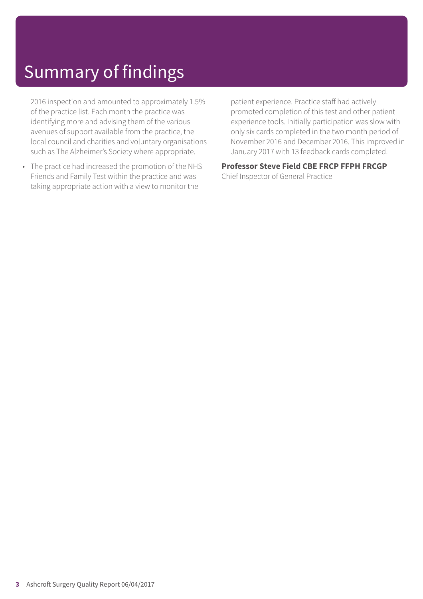2016 inspection and amounted to approximately 1.5% of the practice list. Each month the practice was identifying more and advising them of the various avenues of support available from the practice, the local council and charities and voluntary organisations such as The Alzheimer's Society where appropriate.

• The practice had increased the promotion of the NHS Friends and Family Test within the practice and was taking appropriate action with a view to monitor the

patient experience. Practice staff had actively promoted completion of this test and other patient experience tools. Initially participation was slow with only six cards completed in the two month period of November 2016 and December 2016. This improved in January 2017 with 13 feedback cards completed.

### **Professor Steve Field CBE FRCP FFPH FRCGP**

Chief Inspector of General Practice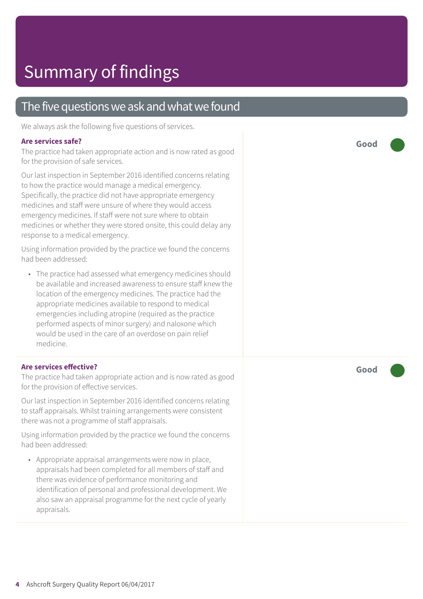### The five questions we ask and what we found

We always ask the following five questions of services.

#### **Are services safe?**

The practice had taken appropriate action and is now rated as good for the provision of safe services.

Our last inspection in September 2016 identified concerns relating to how the practice would manage a medical emergency. Specifically, the practice did not have appropriate emergency medicines and staff were unsure of where they would access emergency medicines. If staff were not sure where to obtain medicines or whether they were stored onsite, this could delay any response to a medical emergency.

Using information provided by the practice we found the concerns had been addressed:

• The practice had assessed what emergency medicines should be available and increased awareness to ensure staff knew the location of the emergency medicines. The practice had the appropriate medicines available to respond to medical emergencies including atropine (required as the practice performed aspects of minor surgery) and naloxone which would be used in the care of an overdose on pain relief medicine.

#### **Are services effective?**

The practice had taken appropriate action and is now rated as good for the provision of effective services.

Our last inspection in September 2016 identified concerns relating to staff appraisals. Whilst training arrangements were consistent there was not a programme of staff appraisals.

Using information provided by the practice we found the concerns had been addressed:

• Appropriate appraisal arrangements were now in place, appraisals had been completed for all members of staff and there was evidence of performance monitoring and identification of personal and professional development. We also saw an appraisal programme for the next cycle of yearly appraisals.

**Good –––**

**Good –––**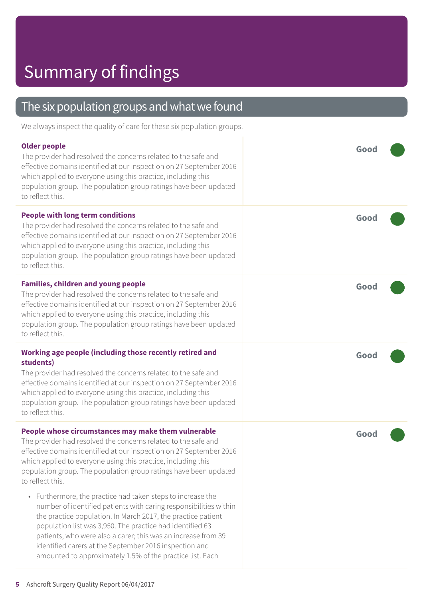### The six population groups and what we found

We always inspect the quality of care for these six population groups.

| <b>Older people</b><br>The provider had resolved the concerns related to the safe and<br>effective domains identified at our inspection on 27 September 2016<br>which applied to everyone using this practice, including this<br>population group. The population group ratings have been updated<br>to reflect this.                                                                                                                                 | Good |
|-------------------------------------------------------------------------------------------------------------------------------------------------------------------------------------------------------------------------------------------------------------------------------------------------------------------------------------------------------------------------------------------------------------------------------------------------------|------|
| <b>People with long term conditions</b><br>The provider had resolved the concerns related to the safe and<br>effective domains identified at our inspection on 27 September 2016<br>which applied to everyone using this practice, including this<br>population group. The population group ratings have been updated<br>to reflect this.                                                                                                             | Good |
| <b>Families, children and young people</b><br>The provider had resolved the concerns related to the safe and<br>effective domains identified at our inspection on 27 September 2016<br>which applied to everyone using this practice, including this<br>population group. The population group ratings have been updated<br>to reflect this.                                                                                                          | Good |
| Working age people (including those recently retired and<br>students)<br>The provider had resolved the concerns related to the safe and<br>effective domains identified at our inspection on 27 September 2016<br>which applied to everyone using this practice, including this<br>population group. The population group ratings have been updated<br>to reflect this.                                                                               | Good |
| People whose circumstances may make them vulnerable<br>The provider had resolved the concerns related to the safe and<br>effective domains identified at our inspection on 27 September 2016<br>which applied to everyone using this practice, including this<br>population group. The population group ratings have been updated<br>to reflect this.                                                                                                 | Good |
| • Furthermore, the practice had taken steps to increase the<br>number of identified patients with caring responsibilities within<br>the practice population. In March 2017, the practice patient<br>population list was 3,950. The practice had identified 63<br>patients, who were also a carer; this was an increase from 39<br>identified carers at the September 2016 inspection and<br>amounted to approximately 1.5% of the practice list. Each |      |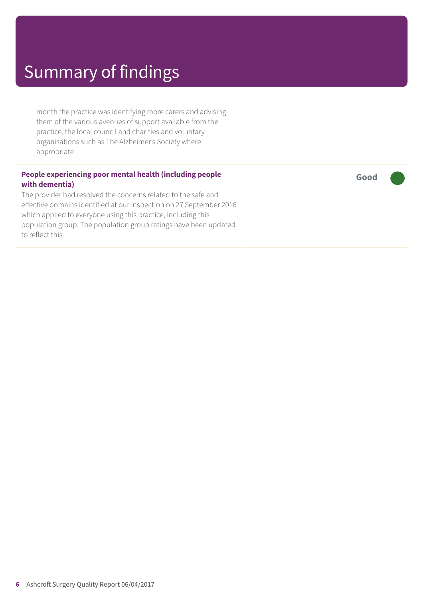month the practice was identifying more carers and advising them of the various avenues of support available from the practice, the local council and charities and voluntary organisations such as The Alzheimer's Society where appropriate

#### **People experiencing poor mental health (including people with dementia)**

The provider had resolved the concerns related to the safe and effective domains identified at our inspection on 27 September 2016 which applied to everyone using this practice, including this population group. The population group ratings have been updated to reflect this.

**Good –––**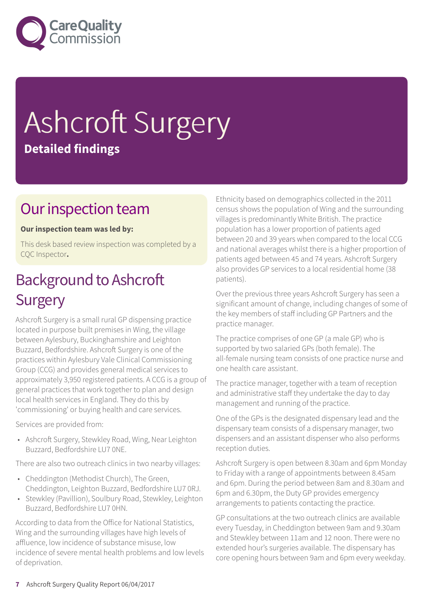

# Ashcroft Surgery **Detailed findings**

### Our inspection team

#### **Our inspection team was led by:**

This desk based review inspection was completed by a CQC Inspector**.**

### **Background to Ashcroft Surgery**

Ashcroft Surgery is a small rural GP dispensing practice located in purpose built premises in Wing, the village between Aylesbury, Buckinghamshire and Leighton Buzzard, Bedfordshire. Ashcroft Surgery is one of the practices within Aylesbury Vale Clinical Commissioning Group (CCG) and provides general medical services to approximately 3,950 registered patients. A CCG is a group of general practices that work together to plan and design local health services in England. They do this by 'commissioning' or buying health and care services.

Services are provided from:

• Ashcroft Surgery, Stewkley Road, Wing, Near Leighton Buzzard, Bedfordshire LU7 0NE.

There are also two outreach clinics in two nearby villages:

- Cheddington (Methodist Church), The Green, Cheddington, Leighton Buzzard, Bedfordshire LU7 0RJ.
- Stewkley (Pavillion), Soulbury Road, Stewkley, Leighton Buzzard, Bedfordshire LU7 0HN.

According to data from the Office for National Statistics, Wing and the surrounding villages have high levels of affluence, low incidence of substance misuse, low incidence of severe mental health problems and low levels of deprivation.

Ethnicity based on demographics collected in the 2011 census shows the population of Wing and the surrounding villages is predominantly White British. The practice population has a lower proportion of patients aged between 20 and 39 years when compared to the local CCG and national averages whilst there is a higher proportion of patients aged between 45 and 74 years. Ashcroft Surgery also provides GP services to a local residential home (38 patients).

Over the previous three years Ashcroft Surgery has seen a significant amount of change, including changes of some of the key members of staff including GP Partners and the practice manager.

The practice comprises of one GP (a male GP) who is supported by two salaried GPs (both female). The all-female nursing team consists of one practice nurse and one health care assistant.

The practice manager, together with a team of reception and administrative staff they undertake the day to day management and running of the practice.

One of the GPs is the designated dispensary lead and the dispensary team consists of a dispensary manager, two dispensers and an assistant dispenser who also performs reception duties.

Ashcroft Surgery is open between 8.30am and 6pm Monday to Friday with a range of appointments between 8.45am and 6pm. During the period between 8am and 8.30am and 6pm and 6.30pm, the Duty GP provides emergency arrangements to patients contacting the practice.

GP consultations at the two outreach clinics are available every Tuesday, in Cheddington between 9am and 9.30am and Stewkley between 11am and 12 noon. There were no extended hour's surgeries available. The dispensary has core opening hours between 9am and 6pm every weekday.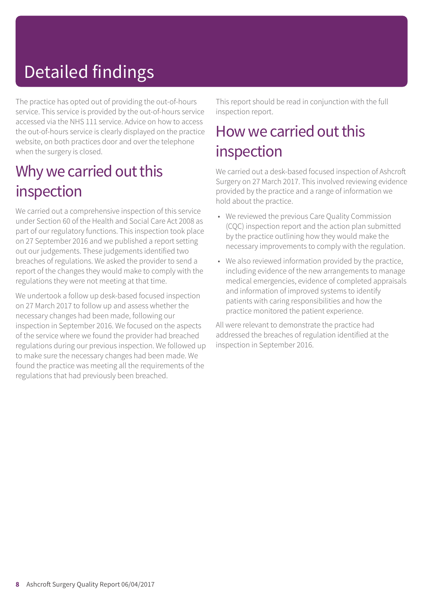# Detailed findings

The practice has opted out of providing the out-of-hours service. This service is provided by the out-of-hours service accessed via the NHS 111 service. Advice on how to access the out-of-hours service is clearly displayed on the practice website, on both practices door and over the telephone when the surgery is closed.

### Why we carried out this inspection

We carried out a comprehensive inspection of this service under Section 60 of the Health and Social Care Act 2008 as part of our regulatory functions. This inspection took place on 27 September 2016 and we published a report setting out our judgements. These judgements identified two breaches of regulations. We asked the provider to send a report of the changes they would make to comply with the regulations they were not meeting at that time.

We undertook a follow up desk-based focused inspection on 27 March 2017 to follow up and assess whether the necessary changes had been made, following our inspection in September 2016. We focused on the aspects of the service where we found the provider had breached regulations during our previous inspection. We followed up to make sure the necessary changes had been made. We found the practice was meeting all the requirements of the regulations that had previously been breached.

This report should be read in conjunction with the full inspection report.

### How we carried out this inspection

We carried out a desk-based focused inspection of Ashcroft Surgery on 27 March 2017. This involved reviewing evidence provided by the practice and a range of information we hold about the practice.

- We reviewed the previous Care Quality Commission (CQC) inspection report and the action plan submitted by the practice outlining how they would make the necessary improvements to comply with the regulation.
- We also reviewed information provided by the practice, including evidence of the new arrangements to manage medical emergencies, evidence of completed appraisals and information of improved systems to identify patients with caring responsibilities and how the practice monitored the patient experience.

All were relevant to demonstrate the practice had addressed the breaches of regulation identified at the inspection in September 2016.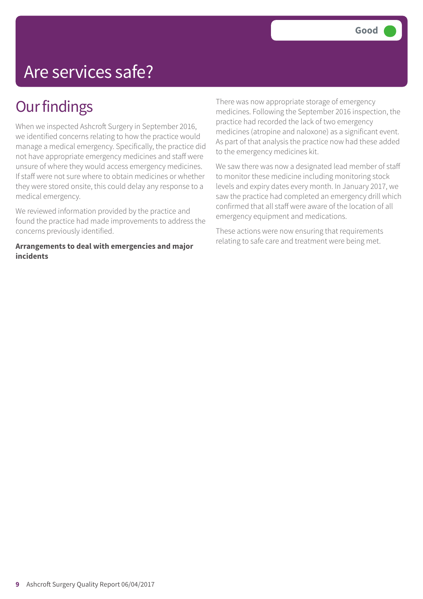## Are services safe?

### **Our findings**

When we inspected Ashcroft Surgery in September 2016, we identified concerns relating to how the practice would manage a medical emergency. Specifically, the practice did not have appropriate emergency medicines and staff were unsure of where they would access emergency medicines. If staff were not sure where to obtain medicines or whether they were stored onsite, this could delay any response to a medical emergency.

We reviewed information provided by the practice and found the practice had made improvements to address the concerns previously identified.

**Arrangements to deal with emergencies and major incidents**

There was now appropriate storage of emergency medicines. Following the September 2016 inspection, the practice had recorded the lack of two emergency medicines (atropine and naloxone) as a significant event. As part of that analysis the practice now had these added to the emergency medicines kit.

We saw there was now a designated lead member of staff to monitor these medicine including monitoring stock levels and expiry dates every month. In January 2017, we saw the practice had completed an emergency drill which confirmed that all staff were aware of the location of all emergency equipment and medications.

These actions were now ensuring that requirements relating to safe care and treatment were being met.